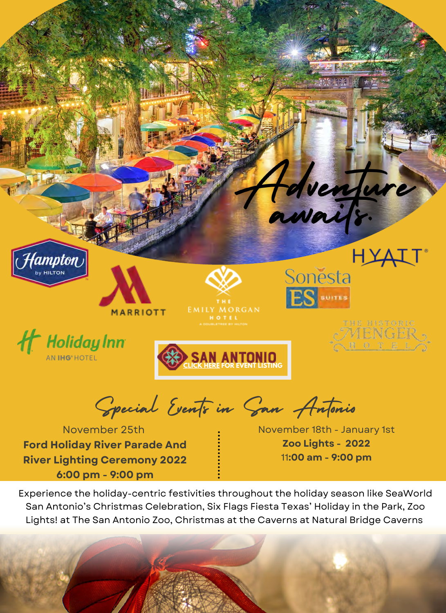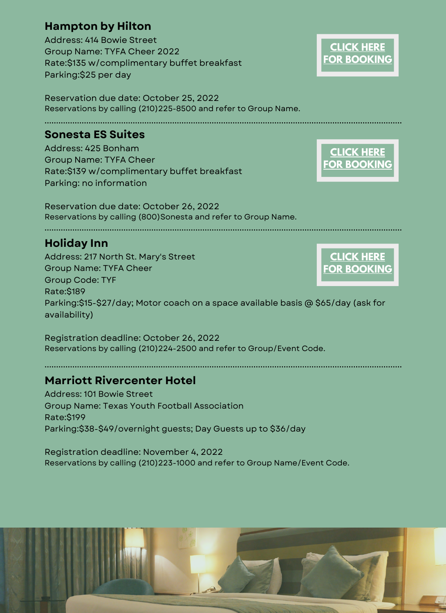# **Hampton by Hilton**

Address: 414 Bowie Street Group Name: TYFA Cheer 2022 Rate:\$135 w/complimentary buffet breakfast Parking:\$25 per day

Reservation due date: October 25, 2022 Reservations by calling (210)225-8500 and refer to Group Name.

### **Sonesta ES Suites**

Address: 425 Bonham Group Name: TYFA Cheer Rate:\$139 w/complimentary buffet breakfast Parking: no information

Reservation due date: October 26, 2022 Reservations by calling (800)Sonesta and refer to Group Name.

## **Holiday Inn**

Address: 217 North St. Mary's Street Group Name: TYFA Cheer Group Code: TYF Rate:\$189 Parking:\$15-\$27/day; Motor coach on a space available basis @ \$65/day (ask for availability) **[FOR BOOKING](https://www.ihg.com/holidayinn/hotels/us/en/san-antonio/satrw/hoteldetail?fromRedirect=true&qSrt=sBR&qIta=99801505&icdv=99801505&qSlH=SATRW&qGrpCd=TYF&setPMCookies=true&qSHBrC=HI&qDest=217%20North%20St.%20Mary%27s%20Street,%20San%20Antonio,%20TX,%20US&srb_u=1)**

Registration deadline: October 26, 2022 Reservations by calling (210)224-2500 and refer to Group/Event Code.

## **Marriott Rivercenter Hotel**

Address: 101 Bowie Street Group Name: Texas Youth Football Association Rate:\$199 Parking:\$38-\$49/overnight guests; Day Guests up to \$36/day

Registration deadline: November 4, 2022 Reservations by calling (210)223-1000 and refer to Group Name/Event Code.



**[CLICK HERE](https://www.hilton.com/en/book/reservation/deeplink/?ctyhocn=SATDTHX&groupCode=CHHTYF&arrivaldate=2022-11-25&departuredate=2022-11-27&cid=OM,WW,HILTONLINK,EN,DirectLink&fromId=HILTONLINKDIRECT) [FOR BOOKING](https://www.hilton.com/en/book/reservation/deeplink/?ctyhocn=SATDTHX&groupCode=CHHTYF&arrivaldate=2022-11-25&departuredate=2022-11-27&cid=OM,WW,HILTONLINK,EN,DirectLink&fromId=HILTONLINKDIRECT)**